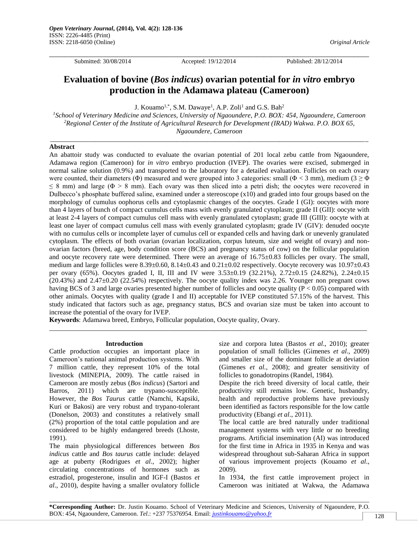\_\_\_\_\_\_\_\_\_\_\_\_\_\_\_\_\_\_\_\_\_\_\_\_\_\_\_\_\_\_\_\_\_\_\_\_\_\_\_\_\_\_\_\_\_\_\_\_\_\_\_\_\_\_\_\_\_\_\_\_\_\_\_\_\_\_\_\_\_\_\_\_\_\_\_\_\_\_\_\_\_\_\_\_\_

Submitted: 30/08/2014 Accepted: 19/12/2014 Published: 28/12/2014

# **Evaluation of bovine (***Bos indicus***) ovarian potential for** *in vitro* **embryo production in the Adamawa plateau (Cameroon)**

J. Kouamo<sup>1,\*</sup>, S.M. Dawaye<sup>1</sup>, A.P. Zoli<sup>1</sup> and G.S. Bah<sup>2</sup>

*<sup>1</sup>School of Veterinary Medicine and Sciences, University of Ngaoundere, P.O. BOX: 454, Ngaoundere, Cameroon <sup>2</sup>Regional Center of the Institute of Agricultural Research for Development (IRAD) Wakwa. P.O. BOX 65, Ngaoundere, Cameroon*

\_\_\_\_\_\_\_\_\_\_\_\_\_\_\_\_\_\_\_\_\_\_\_\_\_\_\_\_\_\_\_\_\_\_\_\_\_\_\_\_\_\_\_\_\_\_\_\_\_\_\_\_\_\_\_\_\_\_\_\_\_\_\_\_\_\_\_\_\_\_\_\_\_\_\_\_\_\_\_\_\_\_\_\_\_\_\_\_\_\_\_\_\_

## **Abstract**

An abattoir study was conducted to evaluate the ovarian potential of 201 local zebu cattle from Ngaoundere, Adamawa region (Cameroon) for *in vitro* embryo production (IVEP). The ovaries were excised, submerged in normal saline solution (0.9%) and transported to the laboratory for a detailed evaluation. Follicles on each ovary were counted, their diameters (Φ) measured and were grouped into 3 categories: small (Φ < 3 mm), medium (3  $\geq$  Φ  $\leq$  8 mm) and large ( $\Phi$  > 8 mm). Each ovary was then sliced into a petri dish; the oocytes were recovered in Dulbecco's phosphate buffered saline, examined under a stereoscope (x10) and graded into four groups based on the morphology of cumulus oophorus cells and cytoplasmic changes of the oocytes. Grade I (GI): oocytes with more than 4 layers of bunch of compact cumulus cells mass with evenly granulated cytoplasm; grade II (GII): oocyte with at least 2-4 layers of compact cumulus cell mass with evenly granulated cytoplasm; grade III (GIII): oocyte with at least one layer of compact cumulus cell mass with evenly granulated cytoplasm; grade IV (GIV): denuded oocyte with no cumulus cells or incomplete layer of cumulus cell or expanded cells and having dark or unevenly granulated cytoplasm. The effects of both ovarian (ovarian localization, corpus luteum, size and weight of ovary) and nonovarian factors (breed, age, body condition score (BCS) and pregnancy status of cow) on the follicular population and oocyte recovery rate were determined. There were an average of  $16.75\pm0.83$  follicles per ovary. The small, medium and large follicles were 8.39±0.60, 8.14±0.43 and 0.21±0.02 respectively. Oocyte recovery was 10.97±0.43 per ovary (65%). Oocytes graded I, II, III and IV were 3.53±0.19 (32.21%), 2.72±0.15 (24.82%), 2.24±0.15 (20.43%) and 2.47±0.20 (22.54%) respectively. The oocyte quality index was 2.26. Younger non pregnant cows having BCS of 3 and large ovaries presented higher number of follicles and oocyte quality ( $P < 0.05$ ) compared with other animals. Oocytes with quality (grade I and II) acceptable for IVEP constituted 57.15% of the harvest. This study indicated that factors such as age, pregnancy status, BCS and ovarian size must be taken into account to increase the potential of the ovary for IVEP.

 $\_$  ,  $\_$  ,  $\_$  ,  $\_$  ,  $\_$  ,  $\_$  ,  $\_$  ,  $\_$  ,  $\_$  ,  $\_$  ,  $\_$  ,  $\_$  ,  $\_$  ,  $\_$  ,  $\_$  ,  $\_$  ,  $\_$  ,  $\_$  ,  $\_$  ,  $\_$  ,  $\_$  ,  $\_$  ,  $\_$  ,  $\_$  ,  $\_$  ,  $\_$  ,  $\_$  ,  $\_$  ,  $\_$  ,  $\_$  ,  $\_$  ,  $\_$  ,  $\_$  ,  $\_$  ,  $\_$  ,  $\_$  ,  $\_$  ,

**Keywords**: Adamawa breed, Embryo, Follicular population, Oocyte quality, Ovary.

#### **Introduction**

Cattle production occupies an important place in Cameroon's national animal production systems. With 7 million cattle, they represent 10% of the total livestock (MINEPIA, 2009). The cattle raised in Cameroon are mostly zebus (*Bos indicus*) (Sartori and Barros, 2011) which are trypano-susceptible. However, the *Bos Taurus* cattle (Namchi, Kapsiki, Kuri or Bakosi) are very robust and trypano-tolerant (Donelson, 2003) and constitutes a relatively small (2%) proportion of the total cattle population and are considered to be highly endangered breeds (Lhoste, 1991).

The main physiological differences between *Bos indicus* cattle and *Bos taurus* cattle include: delayed age at puberty (Rodrigues *et al*., 2002); higher circulating concentrations of hormones such as estradiol, progesterone, insulin and IGF-I (Bastos *et al*., 2010), despite having a smaller ovulatory follicle

size and corpora lutea (Bastos *et al*., 2010); greater population of small follicles (Gimenes *et al*., 2009) and smaller size of the dominant follicle at deviation (Gimenes *et al.*, 2008); and greater sensitivity of follicles to gonadotropins (Randel, 1984).

Despite the rich breed diversity of local cattle, their productivity still remains low. Genetic, husbandry, health and reproductive problems have previously been identified as factors responsible for the low cattle productivity (Ebangi *et al*., 2011).

The local cattle are bred naturally under traditional management systems with very little or no breeding programs. Artificial insemination (AI) was introduced for the first time in Africa in 1935 in Kenya and was widespread throughout sub-Saharan Africa in support of various improvement projects (Kouamo *et al*., 2009).

In 1934, the first cattle improvement project in Cameroon was initiated at Wakwa, the Adamawa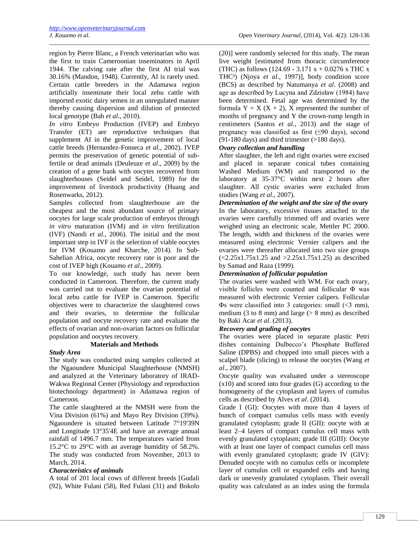region by Pierre Blanc, a French veterinarian who was the first to train Cameroonian inseminators in April 1944. The calving rate after the first AI trial was 30.16% (Mandon, 1948). Currently, AI is rarely used. Certain cattle breeders in the Adamawa region artificially inseminate their local zebu cattle with imported exotic dairy semen in an unregulated manner thereby causing dispersion and dilution of protected local genotype (Bah *et al*., 2010).

*In vitro* Embryo Production (IVEP) and Embryo Transfer (ET) are reproductive techniques that supplement AI in the genetic improvement of local cattle breeds (Hernandez-Fonseca *et al.*, 2002). IVEP permits the preservation of genetic potential of subfertile or dead animals (Deuleuze *et al*., 2009) by the creation of a gene bank with oocytes recovered from slaughterhouses (Seidel and Seidel, 1989) for the improvement of livestock productivity (Huang and Rosenwarks, 2012).

Samples collected from slaughterhouse are the cheapest and the most abundant source of primary oocytes for large scale production of embryos through *in vitro* maturation (IVM) and *in vitro* fertilization (IVF) (Nandi *et al*., 2006). The initial and the most important step in IVF is the selection of viable oocytes for IVM (Kouamo and Kharche, 2014). In Sub-Sahelian Africa, oocyte recovery rate is poor and the cost of IVEP high (Kouamo *et al*., 2009).

To our knowledge, such study has never been conducted in Cameroon. Therefore, the current study was carried out to evaluate the ovarian potential of local zebu cattle for IVEP in Cameroon. Specific objectives were to characterize the slaughtered cows and their ovaries, to determine the follicular population and oocyte recovery rate and evaluate the effects of ovarian and non-ovarian factors on follicular population and oocytes recovery.

## **Materials and Methods**

## *Study Area*

The study was conducted using samples collected at the Ngaoundere Municipal Slaughterhouse (NMSH) and analyzed at the Veterinary laboratory of IRAD-Wakwa Regional Center (Physiology and reproduction biotechnology department) in Adamawa region of Cameroon.

The cattle slaughtered at the NMSH were from the Vina Division (61%) and Mayo Rey Division (39%). Ngaoundere is situated between Latitude 7°19'39N and Longitude 13°35'4E and have an average annual rainfall of 1496.7 mm. The temperatures varied from 15.2°C to 29°C with an average humidity of 58.2%. The study was conducted from November, 2013 to March, 2014.

## *Characteristics of animals*

A total of 201 local cows of different breeds [Gudali (92), White Fulani (58), Red Fulani (31) and Bokolo (20)] were randomly selected for this study. The mean live weight [estimated from thoracic circumference (THC) as follows (124.69 - 3.171  $x + 0.0276 x$  THC x THC²) (Njoya *et al*., 1997)], body condition score (BCS) as described by Natumanya *et al*. (2008) and age as described by Lucyna and Zdzisław (1984) have been determined. Fetal age was determined by the formula  $Y = X (X + 2)$ , X represented the number of months of pregnancy and Y the crown-rump length in centimeters (Santos *et al.*, 2013) and the stage of pregnancy was classified as first  $(\leq 90 \text{ days})$ , second  $(91-180 \text{ days})$  and third trimester (>180 days).

# *Ovary collection and handling*

\_\_\_\_\_\_\_\_\_\_\_\_\_\_\_\_\_\_\_\_\_\_\_\_\_\_\_\_\_\_\_\_\_\_\_\_\_\_\_\_\_\_\_\_\_\_\_\_\_\_\_\_\_\_\_\_\_\_\_\_\_\_\_\_\_\_\_\_\_\_\_\_\_\_\_\_\_\_\_\_\_\_\_\_\_\_\_\_\_\_\_\_\_\_\_\_\_\_\_\_\_\_\_\_

After slaughter, the left and right ovaries were excised and placed in separate conical tubes containing Washed Medium (WM) and transported to the laboratory at 35-37°C within next 2 hours after slaughter. All cystic ovaries were excluded from studies (Wang *et al*., 2007).

*Determination of the weight and the size of the ovary*  In the laboratory, excessive tissues attached to the ovaries were carefully trimmed off and ovaries were weighed using an electronic scale, Mettler PC 2000. The length, width and thickness of the ovaries were measured using electronic Vernier calipers and the ovaries were thereafter allocated into two size groups  $(<2.25x1.75x1.25$  and  $>2.25x1.75x1.25$ ) as described by Samad and Raza (1999).

## *Determination of follicular population*

The ovaries were washed with WM. For each ovary, visible follicles were counted and follicular Φ was measured with electronic Vernier calipers. Follicular Φs were classified into 3 categories: small (<3 mm), medium (3 to 8 mm) and large  $($   $>$  8 mm) as described by Baki Acar *et al*. (2013).

## *Recovery and grading of oocytes*

The ovaries were placed in separate plastic Petri dishes containing Dulbecco's Phosphate Buffered Saline (DPBS) and chopped into small pieces with a scalpel blade (slicing) to release the oocytes (Wang *et al*., 2007).

Oocyte quality was evaluated under a stereoscope (x10) and scored into four grades (G) according to the homogeneity of the cytoplasm and layers of cumulus cells as described by Alves *et al*. (2014).

Grade I (GI): Oocytes with more than 4 layers of bunch of compact cumulus cells mass with evenly granulated cytoplasm; grade II (GII): oocyte with at least 2–4 layers of compact cumulus cell mass with evenly granulated cytoplasm; grade III (GIII): Oocyte with at least one layer of compact cumulus cell mass with evenly granulated cytoplasm; grade IV (GIV): Denuded oocyte with no cumulus cells or incomplete layer of cumulus cell or expanded cells and having dark or unevenly granulated cytoplasm. Their overall quality was calculated as an index using the formula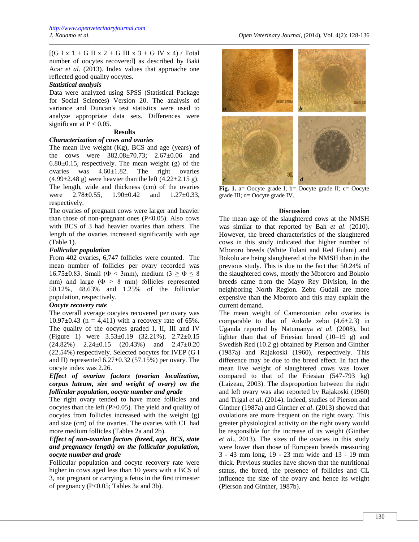$[(G I x 1 + G II x 2 + G III x 3 + G IV x 4) / Total$ number of oocytes recovered] as described by Baki Acar *et al*. (2013). Index values that approache one reflected good quality oocytes.

#### *Statistical analysis*

Data were analyzed using SPSS (Statistical Package for Social Sciences) Version 20. The analysis of variance and Duncan's test statistics were used to analyze appropriate data sets. Differences were significant at  $P < 0.05$ .

#### **Results**

#### *Characterization of cows and ovaries*

The mean live weight (Kg), BCS and age (years) of the cows were  $382.08 \pm 70.73$ ;  $2.67 \pm 0.06$  and  $6.80\pm0.15$ , respectively. The mean weight (g) of the ovaries was 4.60±1.82. The right ovaries  $(4.99 \pm 2.48 \text{ g})$  were heavier than the left  $(4.22 \pm 2.15 \text{ g})$ . The length, wide and thickness (cm) of the ovaries were  $2.78 \pm 0.55$ ,  $1.90 \pm 0.42$  and  $1.27 \pm 0.33$ , respectively.

The ovaries of pregnant cows were larger and heavier than those of non-pregnant ones  $(P<0.05)$ . Also cows with BCS of 3 had heavier ovaries than others. The length of the ovaries increased significantly with age (Table 1).

## *Follicular population*

From 402 ovaries, 6,747 follicles were counted. The mean number of follicles per ovary recorded was 16.75±0.83. Small ( $\Phi$  < 3mm), medium (3  $\geq \Phi \leq 8$ mm) and large  $(\Phi > 8$  mm) follicles represented 50.12%, 48.63% and 1.25% of the follicular population, respectively.

# *Oocyte recovery rate*

The overall average oocytes recovered per ovary was  $10.97 \pm 0.43$  (n = 4,411) with a recovery rate of 65%. The quality of the oocytes graded I, II, III and IV (Figure 1) were 3.53±0.19 (32.21%), 2.72±0.15  $(24.82\%)$   $2.24\pm0.15$   $(20.43\%)$  and  $2.47\pm0.20$ (22.54%) respectively. Selected oocytes for IVEP (G I and II) represented  $6.27 \pm 0.32$  (57.15%) per ovary. The oocyte index was 2.26.

# *Effect of ovarian factors (ovarian localization, corpus luteum, size and weight of ovary) on the follicular population, oocyte number and grade*

The right ovary tended to have more follicles and oocytes than the left (P>0.05). The yield and quality of oocytes from follicles increased with the weight (g) and size (cm) of the ovaries. The ovaries with CL had more medium follicles (Tables 2a and 2b).

## *Effect of non-ovarian factors (breed, age, BCS, state and pregnancy length) on the follicular population, oocyte number and grade*

Follicular population and oocyte recovery rate were higher in cows aged less than 10 years with a BCS of 3, not pregnant or carrying a fetus in the first trimester of pregnancy (P<0.05; Tables 3a and 3b).



**Fig. 1.** a= Oocyte grade I; b= Oocyte grade II; c= Oocyte grade III; d= Oocyte grade IV.

## **Discussion**

The mean age of the slaughtered cows at the NMSH was similar to that reported by Bah *et al*. (2010). However, the breed characteristics of the slaughtered cows in this study indicated that higher number of Mbororo breeds (White Fulani and Red Fulani) and Bokolo are being slaughtered at the NMSH than in the previous study. This is due to the fact that 50.24% of the slaughtered cows, mostly the Mbororo and Bokolo breeds came from the Mayo Rey Division, in the neighboring North Region. Zebu Gudali are more expensive than the Mbororo and this may explain the current demand.

The mean weight of Cameroonian zebu ovaries is comparable to that of Ankole zebu  $(4.6\pm2.3)$  in Uganda reported by Natumanya *et al.* (2008), but lighter than that of Friesian breed (10–19 g) and Swedish Red (10.2 g) obtained by Pierson and Ginther (1987a) and Rajakoski (1960), respectively. This difference may be due to the breed effect. In fact the mean live weight of slaughtered cows was lower compared to that of the Friesian (547-793 kg) (Laizeau, 2003). The disproportion between the right and left ovary was also reported by Rajakoski (1960) and Trigal *et al*. (2014). Indeed, studies of Pierson and Ginther (1987a) and Ginther *et al*. (2013) showed that ovulations are more frequent on the right ovary. This greater physiological activity on the right ovary would be responsible for the increase of its weight (Ginther *et al*., 2013). The sizes of the ovaries in this study were lower than those of European breeds measuring 3 - 43 mm long, 19 - 23 mm wide and 13 - 19 mm thick. Previous studies have shown that the nutritional status, the breed, the presence of follicles and CL influence the size of the ovary and hence its weight (Pierson and Ginther, 1987b).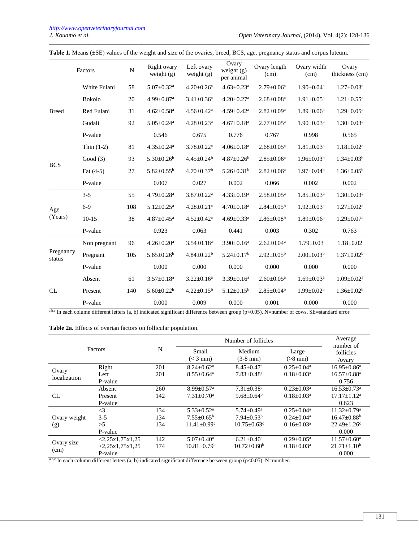|                     | Factors       | N   | Right ovary<br>weight $(g)$  | Left ovary<br>weight $(g)$   | Ovary<br>weight $(g)$<br>per animal | Ovary length<br>(cm)         | Ovary width<br>(cm)        | Ovary<br>thickness (cm)      |
|---------------------|---------------|-----|------------------------------|------------------------------|-------------------------------------|------------------------------|----------------------------|------------------------------|
|                     | White Fulani  | 58  | $5.07 \pm 0.32$ <sup>a</sup> | $4.20 \pm 0.26$ <sup>a</sup> | $4.63 \pm 0.23$ <sup>a</sup>        | $2.79 \pm 0.06^a$            | $1.90 \pm 0.04^a$          | $1.27 \pm 0.03^a$            |
|                     | <b>Bokolo</b> | 20  | $4.99 \pm 0.87$ <sup>a</sup> | $3.41 \pm 0.36$ <sup>a</sup> | $4.20 \pm 0.27$ <sup>a</sup>        | $2.68 \pm 0.08$ <sup>a</sup> | $1.91 \pm 0.05^{\text{a}}$ | $1.21 \pm 0.55$ <sup>a</sup> |
| <b>Breed</b>        | Red Fulani    | 31  | $4.62 \pm 0.58$ <sup>a</sup> | $4.56 \pm 0.42^a$            | $4.59 \pm 0.42$ <sup>a</sup>        | $2.82 \pm 0.09^a$            | $1.89 \pm 0.06^a$          | $1.29 \pm 0.05^{\text{a}}$   |
|                     | Gudali        | 92  | $5.05 \pm 0.24$ <sup>a</sup> | $4.28 \pm 0.23$ <sup>a</sup> | $4.67 \pm 0.18$ <sup>a</sup>        | $2.77 \pm 0.05^{\text{a}}$   | $1.90 \pm 0.03^{\text{a}}$ | $1.30 \pm 0.03^a$            |
|                     | P-value       |     | 0.546                        | 0.675                        | 0.776                               | 0.767                        | 0.998                      | 0.565                        |
|                     | Thin $(1-2)$  | 81  | $4.35 \pm 0.24$ <sup>a</sup> | $3.78 \pm 0.22$ <sup>a</sup> | $4.06 \pm 0.18$ <sup>a</sup>        | $2.68 \pm 0.05^{\text{a}}$   | $1.81 \pm 0.03^a$          | $1.18 \pm 0.02^a$            |
| <b>BCS</b>          | Good $(3)$    | 93  | $5.30 \pm 0.26^b$            | $4.45 \pm 0.24^b$            | $4.87 \pm 0.26^b$                   | $2.85 \pm 0.06^a$            | $1.96 \pm 0.03^b$          | $1.34 \pm 0.03^b$            |
|                     | Fat $(4-5)$   | 27  | $5.82 \pm 0.55^b$            | $4.70 \pm 0.37$ <sup>b</sup> | $5.26 \pm 0.31^b$                   | $2.82 \pm 0.06^a$            | $1.97 \pm 0.04^b$          | $1.36 \pm 0.05^b$            |
|                     | P-value       |     | 0.007                        | 0.027                        | 0.002                               | 0.066                        | 0.002                      | 0.002                        |
|                     | $3 - 5$       | 55  | $4.79 \pm 0.28$ <sup>a</sup> | $3.87 \pm 0.22$ <sup>a</sup> | $4.33 \pm 0.19^a$                   | $2.58 \pm 0.05^a$            | $1.85 \pm 0.03^a$          | $1.30 \pm 0.03^a$            |
| Age                 | $6 - 9$       | 108 | $5.12 \pm 0.25$ <sup>a</sup> | $4.28 \pm 0.21$ <sup>a</sup> | $4.70 \pm 0.18$ <sup>a</sup>        | $2.84 \pm 0.05^b$            | $1.92 \pm 0.03^a$          | $1.27 \pm 0.02^a$            |
| (Years)             | $10-15$       | 38  | $4.87 \pm 0.45$ <sup>a</sup> | $4.52 \pm 0.42^a$            | $4.69 \pm 0.33$ <sup>a</sup>        | $2.86 \pm 0.08^b$            | $1.89 \pm 0.06^a$          | $1.29 \pm 0.07$ <sup>a</sup> |
|                     | P-value       |     | 0.923                        | 0.063                        | 0.441                               | 0.003                        | 0.302                      | 0.763                        |
|                     | Non pregnant  | 96  | $4.26 \pm 0.20^a$            | $3.54 \pm 0.18$ <sup>a</sup> | $3.90 \pm 0.16^a$                   | $2.62 \pm 0.04^a$            | $1.79 \pm 0.03$            | $1.18 \pm 0.02$              |
| Pregnancy<br>status | Pregnant      | 105 | $5.65 \pm 0.26^b$            | $4.84 \pm 0.22^b$            | $5.24 \pm 0.17^b$                   | $2.92 \pm 0.05^{\rm b}$      | $2.00 \pm 0.03^b$          | $1.37 \pm 0.02^b$            |
|                     | P-value       |     | 0.000                        | 0.000                        | 0.000                               | 0.000                        | 0.000                      | 0.000                        |
|                     | Absent        | 61  | $3.57 \pm 0.18$ <sup>a</sup> | $3.22 \pm 0.16^a$            | $3.39 \pm 0.16^a$                   | $2.60 \pm 0.05^{\text{a}}$   | $1.69 \pm 0.03^{\text{a}}$ | $1.09 \pm 0.02^a$            |
| CL                  | Present       | 140 | $5.60 \pm 0.22^b$            | $4.22 \pm 0.15^b$            | $5.12 \pm 0.15^b$                   | $2.85 \pm 0.04^b$            | $1.99 \pm 0.02^b$          | $1.36 \pm 0.02^b$            |
|                     | P-value       |     | 0.000                        | 0.009                        | 0.000                               | 0.001                        | 0.000                      | 0.000                        |

|  |  |  | Table 1. Means (±SE) values of the weight and size of the ovaries, breed, BCS, age, pregnancy status and corpus luteum. |
|--|--|--|-------------------------------------------------------------------------------------------------------------------------|
|  |  |  |                                                                                                                         |

\_\_\_\_\_\_\_\_\_\_\_\_\_\_\_\_\_\_\_\_\_\_\_\_\_\_\_\_\_\_\_\_\_\_\_\_\_\_\_\_\_\_\_\_\_\_\_\_\_\_\_\_\_\_\_\_\_\_\_\_\_\_\_\_\_\_\_\_\_\_\_\_\_\_\_\_\_\_\_\_\_\_\_\_\_\_\_\_\_\_\_\_\_\_\_\_\_\_\_\_\_\_\_\_

a,b,c In each column different letters (a, b) indicated significant difference between group (p<0.05). N=number of cows. SE=standard error

|  |  |  |  |  | Table 2a. Effects of ovarian factors on follicular population. |
|--|--|--|--|--|----------------------------------------------------------------|
|--|--|--|--|--|----------------------------------------------------------------|

| Factors      |                          |     | Number of follicles           | Average<br>number of          |                              |                               |
|--------------|--------------------------|-----|-------------------------------|-------------------------------|------------------------------|-------------------------------|
|              |                          | N   | Small<br>$(< 3$ mm)           | Medium<br>$(3-8$ mm)          | Large<br>$(>8$ mm)           | follicles<br>/ovary           |
|              | Right                    | 201 | $8.24 \pm 0.62$ <sup>a</sup>  | $8.45 \pm 0.47$ <sup>a</sup>  | $0.25 \pm 0.04^a$            | $16.95 \pm 0.86^a$            |
| Ovary        | Left                     | 201 | $8.55 \pm 0.64^a$             | $7.83 \pm 0.48$ <sup>a</sup>  | $0.18 \pm 0.03^a$            | $16.57 \pm 0.88$ <sup>a</sup> |
| localization | P-value                  |     |                               |                               |                              | 0.756                         |
|              | Absent                   | 260 | $8.99 \pm 0.57$ <sup>a</sup>  | $7.31 \pm 0.38$ <sup>a</sup>  | $0.23 \pm 0.03^a$            | $16.53 \pm 0.73$ <sup>a</sup> |
| CL.          | Present                  | 142 | $7.31 \pm 0.70$ <sup>a</sup>  | $9.68 \pm 0.64^b$             | $0.18 \pm 0.03^a$            | $17.17 + 1.12^a$              |
|              | P-value                  |     |                               |                               |                              | 0.623                         |
|              | $\leq$ 3                 | 134 | $5.33 + 0.52^a$               | $5.74 + 0.49^a$               | $0.25 + 0.04^a$              | $11.32 + 0.79$ <sup>a</sup>   |
| Ovary weight | $3 - 5$                  | 134 | $7.55 \pm 0.65^{\rm b}$       | $7.94 \pm 0.53^b$             | $0.24 \pm 0.04$ <sup>a</sup> | $16.47 \pm 0.88$ <sup>b</sup> |
| (g)          | >5                       | 134 | $11.41 \pm 0.99$ <sup>c</sup> | $10.75 \pm 0.63$ <sup>c</sup> | $0.16 \pm 0.03^a$            | $22.49 \pm 1.26$ c            |
|              | P-value                  |     |                               |                               |                              | 0.000                         |
|              | $\langle 2.25x1.75x1.25$ | 142 | $5.07 + 0.40^a$               | $6.21 \pm 0.40^a$             | $0.29 + 0.05^{\text{a}}$     | $11.57 \pm 0.60^{\text{a}}$   |
| Ovary size   | >2,25x1,75x1,25          | 174 | $10.81 \pm 0.79^{\rm b}$      | $10.72 \pm 0.60^{\rm b}$      | $0.18 \pm 0.03^a$            | $21.71 \pm 1.10^b$            |
| (cm)         | P-value                  |     |                               |                               |                              | 0.000                         |

a,b,c In each column different letters (a, b) indicated significant difference between group (p<0.05). N=number.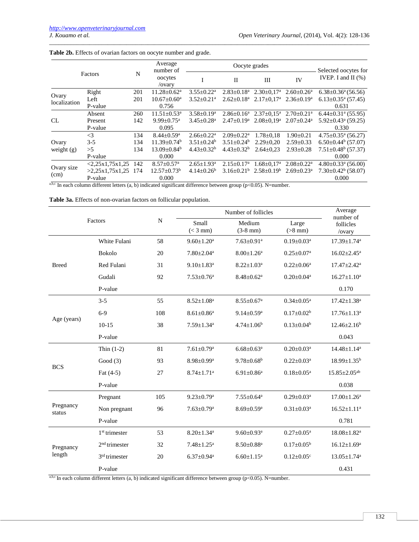|                    |                       |     | Average<br>number of          |                              | Selected oocytes for         |                                                       |                              |                                      |
|--------------------|-----------------------|-----|-------------------------------|------------------------------|------------------------------|-------------------------------------------------------|------------------------------|--------------------------------------|
| Factors            |                       | N   | oocytes<br>/ovary             |                              | $\mathbf{I}$                 | III                                                   | IV                           | IVEP. I and II $(\% )$               |
|                    | Right                 | 201 | $11.28 \pm 0.62^a$            | $3.55 \pm 0.22^a$            | $2.83 \pm 0.18^a$            | $2.30 \pm 0.17$ <sup>a</sup>                          | $2.60 \pm 0.26^a$            | $6.38 \pm 0.36^{\circ}$ (56.56)      |
| Ovary              | Left                  | 201 | $10.67 \pm 0.60^a$            | $3.52 \pm 0.21$ <sup>a</sup> | $2.62 \pm 0.18^a$            | $2.17 \pm 0.17^{\text{a}}$ $2.36 \pm 0.19^{\text{a}}$ |                              | $6.13 \pm 0.35$ <sup>a</sup> (57.45) |
| localization       | P-value               |     | 0.756                         |                              |                              |                                                       | 0.631                        |                                      |
|                    | Absent                | 260 | $11.51 \pm 0.53$ <sup>a</sup> | $3.58 \pm 0.19^a$            | $2.86 \pm 0.16^a$            | $2.37 \pm 0.15^a$                                     | $2.70 \pm 0.21$ <sup>a</sup> | $6.44 \pm 0.31$ <sup>a</sup> (55.95) |
| CL                 | Present               | 142 | $9.99 \pm 0.75$ <sup>a</sup>  | $3.45 \pm 0.28$ <sup>a</sup> | $2.47 \pm 0.19^a$            | $2.08 \pm 0.19^a$                                     | $2.07 \pm 0.24$ <sup>a</sup> | $5.92 \pm 0.43$ <sup>a</sup> (59.25) |
|                    | P-value               |     | 0.095                         |                              |                              |                                                       |                              | 0.330                                |
|                    | $\leq$ 3              | 134 | $8.44 \pm 0.59$ <sup>a</sup>  | $2.66 \pm 0.22^{\text{a}}$   | $2.09 \pm 0.22$ <sup>a</sup> | $1.78 \pm 0.18$                                       | $1.90 \pm 0.21$              | $4.75 \pm 0.35$ <sup>a</sup> (56.27) |
| Ovary              | $3 - 5$               | 134 | $11.39 \pm 0.74^b$            | $3.51 \pm 0.24^b$            | $3.51 \pm 0.24^b$            | $2.29 \pm 0.20$                                       | $2.59 \pm 0.33$              | $6.50\pm0.44^{\rm b}$ (57.07)        |
| weight $(g)$       | >5                    | 134 | $13.09 \pm 0.84^b$            | $4.43 \pm 0.32^b$            | $4.43 \pm 0.32^b$            | $2.64 \pm 0.23$                                       | $2.93 \pm 0.28$              | $7.51 \pm 0.48^b$ (57.37)            |
|                    | P-value               |     | 0.000                         |                              |                              |                                                       |                              | 0.000                                |
| Ovary size<br>(cm) | <2,25x1,75x1,25       | 142 | $8.57 \pm 0.57$ <sup>a</sup>  | $2.65 \pm 1.93$ <sup>a</sup> | $2.15 \pm 0.17^a$            | $1.68 \pm 0.17^{\text{a}}$                            | $2.08 \pm 0.22^{\text{a}}$   | $4.80 \pm 0.33$ <sup>a</sup> (56.00) |
|                    | $>2,25x1,75x1,25$ 174 |     | $12.57 \pm 0.73^b$            | $4.14 \pm 0.26^b$            |                              | $3.16 \pm 0.21^{\circ}$ $2.58 \pm 0.19^{\circ}$       | $2.69 \pm 0.23$ <sup>a</sup> | $7.30\pm0.42^b$ (58.07)              |
|                    | P-value               |     | 0.000                         |                              |                              |                                                       |                              | 0.000                                |

\_\_\_\_\_\_\_\_\_\_\_\_\_\_\_\_\_\_\_\_\_\_\_\_\_\_\_\_\_\_\_\_\_\_\_\_\_\_\_\_\_\_\_\_\_\_\_\_\_\_\_\_\_\_\_\_\_\_\_\_\_\_\_\_\_\_\_\_\_\_\_\_\_\_\_\_\_\_\_\_\_\_\_\_\_\_\_\_\_\_\_\_\_\_\_\_\_\_\_\_\_\_\_\_

## **Table 2b.** Effects of ovarian factors on oocyte number and grade.

In each column different letters (a, b) indicated significant difference between group (p<0.05). N=number.

**Table 3a.** Effects of non-ovarian factors on follicular population.

|                     |                       |                | Number of follicles          | Average<br>number of         |                              |                               |
|---------------------|-----------------------|----------------|------------------------------|------------------------------|------------------------------|-------------------------------|
|                     | Factors               | $\overline{N}$ | Small<br>$(< 3$ mm)          | Medium<br>$(3-8)$ mm)        | Large<br>$(>8$ mm)           | follicles<br>/ovary           |
|                     | White Fulani          | 58             | $9.60 \pm 1.20^a$            | $7.63 \pm 0.91$ <sup>a</sup> | $0.19 \pm 0.03^a$            | $17.39 \pm 1.74$ <sup>a</sup> |
|                     | <b>Bokolo</b>         | 20             | $7.80 \pm 2.04$ <sup>a</sup> | $8.00 \pm 1.26$ <sup>a</sup> | $0.25 \pm 0.07$ <sup>a</sup> | $16.02 \pm 2.45$ <sup>a</sup> |
| <b>Breed</b>        | Red Fulani            | 31             | $9.10 \pm 1.83$ <sup>a</sup> | $8.22 \pm 1.03^a$            | $0.22 \pm 0.06^a$            | $17.47 \pm 2.42^a$            |
|                     | Gudali                | 92             | $7.53 \pm 0.76$ <sup>a</sup> | $8.48 \pm 0.62^a$            | $0.20 \pm 0.04$ <sup>a</sup> | $16.27 \pm 1.10^a$            |
|                     | P-value               |                |                              |                              |                              | 0.170                         |
|                     | $3 - 5$               | 55             | $8.52 \pm 1.08^a$            | $8.55 \pm 0.67$ <sup>a</sup> | $0.34 \pm 0.05^{\text{a}}$   | $17.42 \pm 1.38$ <sup>a</sup> |
|                     | $6 - 9$               | 108            | $8.61 \pm 0.86^a$            | $9.14 \pm 0.59$ <sup>a</sup> | $0.17 \pm 0.02^b$            | $17.76 \pm 1.13^a$            |
| Age (years)         | $10-15$               | 38             | $7.59 \pm 1.34$ <sup>a</sup> | $4.74 \pm 1.06^b$            | $0.13 \pm 0.04^b$            | $12.46 \pm 2.16^b$            |
|                     | P-value               |                |                              |                              |                              | 0.043                         |
|                     | Thin $(1-2)$          | 81             | $7.61 \pm 0.79$ <sup>a</sup> | $6.68 \pm 0.63$ <sup>a</sup> | $0.20 \pm 0.03^a$            | $14.48 \pm 1.14^a$            |
| <b>BCS</b>          | Good $(3)$            | 93             | $8.98 \pm 0.99$ <sup>a</sup> | $9.78 \pm 0.68^b$            | $0.22 \pm 0.03^{\text{a}}$   | $18.99 \pm 1.35^b$            |
|                     | Fat $(4-5)$           | 27             | $8.74 \pm 1.71$ <sup>a</sup> | $6.91 \pm 0.86^a$            | $0.18{\pm}0.05^{\mathrm{a}}$ | $15.85 \pm 2.05^{ab}$         |
|                     | P-value               |                |                              |                              |                              | 0.038                         |
|                     | Pregnant              | 105            | $9.23 \pm 0.79$ <sup>a</sup> | $7.55 \pm 0.64$ <sup>a</sup> | $0.29 \pm 0.03^{\text{a}}$   | $17.00 \pm 1.26^{\text{a}}$   |
| Pregnancy<br>status | Non pregnant          | 96             | $7.63 \pm 0.79$ <sup>a</sup> | $8.69 \pm 0.59$ <sup>a</sup> | $0.31 \pm 0.03^a$            | $16.52 \pm 1.11$ <sup>a</sup> |
|                     | P-value               |                |                              |                              |                              | 0.781                         |
|                     | $1st$ trimester       | 53             | $8.20 \pm 1.34$ <sup>a</sup> | $9.60 \pm 0.93$ <sup>a</sup> | $0.27 \pm 0.05^{\text{a}}$   | $18.08 \pm 1.82^a$            |
| Pregnancy           | $2nd$ trimester       | 32             | $7.48 \pm 1.25$ <sup>a</sup> | $8.50 \pm 0.88$ <sup>a</sup> | $0.17 \pm 0.05^b$            | $16.12 \pm 1.69^a$            |
| length              | $3td$ trimester<br>20 |                | $6.37 \pm 0.94$ <sup>a</sup> | $6.60 \pm 1.15^a$            | $0.12 \pm 0.05$ <sup>c</sup> | $13.05 \pm 1.74$ <sup>a</sup> |
|                     | P-value               |                |                              |                              |                              | 0.431                         |

a,b,c In each column different letters  $(a, b)$  indicated significant difference between group (p<0.05). N=number.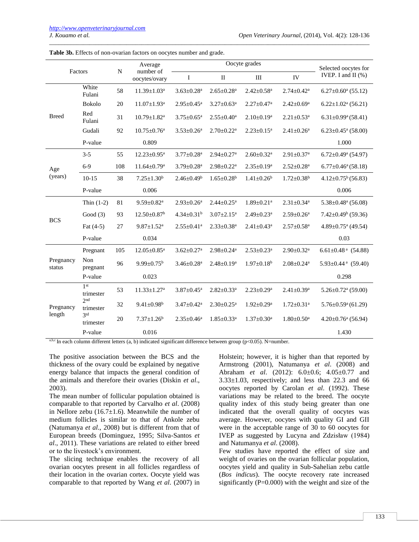| Factors             |                              | $\mathbf N$ | Average                       |                              | Oocyte grades                |                              |                              |                                                |  |
|---------------------|------------------------------|-------------|-------------------------------|------------------------------|------------------------------|------------------------------|------------------------------|------------------------------------------------|--|
|                     |                              |             | number of<br>oocytes/ovary    | I                            | $\mathbf{I}$                 | III                          | IV                           | Selected oocytes for<br>IVEP. I and II $(\% )$ |  |
| <b>Breed</b>        | White<br>Fulani              | 58          | $11.39 \pm 1.03^a$            | $3.63 \pm 0.28$ <sup>a</sup> | $2.65 \pm 0.28$ <sup>a</sup> | $2.42 \pm 0.58$ <sup>a</sup> | $2.74 \pm 0.42^a$            | $6.27 \pm 0.60$ <sup>a</sup> (55.12)           |  |
|                     | <b>Bokolo</b>                | 20          | $11.07 \pm 1.93$ <sup>a</sup> | $2.95 \pm 0.45^a$            | $3.27 \pm 0.63^a$            | $2.27 \pm 0.47$ <sup>a</sup> | $2.42 \pm 0.69^{\mathrm{a}}$ | $6.22 \pm 1.02$ <sup>a</sup> (56.21)           |  |
|                     | Red<br>Fulani                | 31          | $10.79 \pm 1.82$ <sup>a</sup> | $3.75 \pm 0.65$ <sup>a</sup> | $2.55 \pm 0.40^a$            | $2.10 \pm 0.19^a$            | $2.21 \pm 0.53$ <sup>a</sup> | $6.31 \pm 0.99$ <sup>a</sup> $(58.41)$         |  |
|                     | Gudali                       | 92          | $10.75 \pm 0.76^{\mathrm{a}}$ | $3.53 \pm 0.26$ <sup>a</sup> | $2.70 \pm 0.22$ <sup>a</sup> | $2.23 \pm 0.15^a$            | $2.41 \pm 0.26^a$            | $6.23 \pm 0.45$ <sup>a</sup> (58.00)           |  |
|                     | P-value                      |             | 0.809                         |                              |                              |                              |                              | 1.000                                          |  |
|                     | $3 - 5$                      | 55          | $12.23 \pm 0.95^a$            | $3.77 \pm 0.28$ <sup>a</sup> | $2.94 \pm 0.27$ <sup>a</sup> | $2.60 \pm 0.32$ <sup>a</sup> | $2.91 \pm 0.37$ <sup>a</sup> | $6.72 \pm 0.49$ <sup>a</sup> (54.97)           |  |
| Age                 | $6-9$                        | 108         | $11.64 \pm 0.79$ <sup>a</sup> | $3.79 \pm 0.28$ <sup>a</sup> | $2.98 \pm 0.22$ <sup>a</sup> | $2.35 \pm 0.19^a$            | $2.52 \pm 0.28$ <sup>a</sup> | $6.77 \pm 0.46^{\mathrm{a}} (58.18)$           |  |
| (years)             | $10-15$                      | 38          | $7.25 \pm 1.30^b$             | $2.46 \pm 0.49^b$            | $1.65 \pm 0.28$ <sup>b</sup> | $1.41 \pm 0.26^b$            | $1.72 \pm 0.38^b$            | $4.12\pm0.75^b(56.83)$                         |  |
|                     | P-value                      |             | 0.006                         |                              |                              |                              |                              | 0.006                                          |  |
|                     | Thin $(1-2)$                 | 81          | $9.59 \pm 0.82$ <sup>a</sup>  | $2.93 \pm 0.26$ <sup>a</sup> | $2.44 \pm 0.25$ <sup>a</sup> | $1.89 \pm 0.21$ <sup>a</sup> | $2.31 \pm 0.34$ <sup>a</sup> | $5.38 \pm 0.48$ <sup>a</sup> (56.08)           |  |
|                     | Good $(3)$                   | 93          | $12.50 \pm 0.87$ <sup>b</sup> | $4.34 \pm 0.31^b$            | $3.07 \pm 2.15^a$            | $2.49 \pm 0.23$ <sup>a</sup> | $2.59\pm0.26^{\mathrm{a}}$   | $7.42 \pm 0.49^b$ (59.36)                      |  |
| <b>BCS</b>          | Fat $(4-5)$                  | 27          | $9.87 \pm 1.52$ <sup>a</sup>  | $2.55 \pm 0.41$ <sup>a</sup> | $2.33 \pm 0.38$ <sup>a</sup> | $2.41 \pm 0.43$ <sup>a</sup> | $2.57 \pm 0.58$ <sup>a</sup> | $4.89 \pm 0.75$ <sup>a</sup> (49.54)           |  |
|                     | P-value                      |             | 0.034                         |                              |                              |                              |                              | 0.03                                           |  |
|                     | Pregnant                     | 105         | $12.05 \pm 0.85$ <sup>a</sup> | $3.62 \pm 0.27$ <sup>a</sup> | $2.98 \pm 0.24$ <sup>a</sup> | $2.53 \pm 0.23$ <sup>a</sup> | $2.90 \pm 0.32$ <sup>a</sup> | 6.61±0.48 $^{\rm a}$ (54.88)                   |  |
| Pregnancy<br>status | Non<br>pregnant              | 96          | $9.99 \pm 0.75^{\rm b}$       | $3.46 \pm 0.28$ <sup>a</sup> | $2.48 \pm 0.19^a$            | $1.97 \pm 0.18^b$            | $2.08 \pm 0.24$ <sup>a</sup> | $5.93 \pm 0.44$ <sup>a</sup> (59.40)           |  |
|                     | P-value                      |             | 0.023                         |                              |                              |                              |                              | 0.298                                          |  |
| Pregnancy<br>length | 1 <sup>st</sup><br>trimester | 53          | $11.33 \pm 1.27$ <sup>a</sup> | $3.87 \pm 0.45$ <sup>a</sup> | $2.82 \pm 0.33$ <sup>a</sup> | $2.23 \pm 0.29^a$            | $2.41 \pm 0.39^a$            | $5.26 \pm 0.72$ <sup>a</sup> (59.00)           |  |
|                     | 2nd<br>trimester             | 32          | $9.41 \pm 0.98$ <sup>b</sup>  | $3.47 \pm 0.42^a$            | $2.30 \pm 0.25$ <sup>a</sup> | $1.92 \pm 0.29^{\mathrm{a}}$ | $1.72 \pm 0.31$ <sup>a</sup> | $5.76 \pm 0.59$ <sup>a</sup> (61.29)           |  |
|                     | 2td<br>trimester             | 20          | $7.37 \pm 1.26^b$             | $2.35 \pm 0.46^a$            | $1.85 \pm 0.33$ <sup>a</sup> | $1.37 \pm 0.30^{\text{a}}$   | $1.80 \pm 0.50^{\text{a}}$   | $4.20 \pm 0.76$ <sup>a</sup> (56.94)           |  |
|                     | P-value                      |             | 0.016                         |                              |                              |                              |                              | 1.430                                          |  |

\_\_\_\_\_\_\_\_\_\_\_\_\_\_\_\_\_\_\_\_\_\_\_\_\_\_\_\_\_\_\_\_\_\_\_\_\_\_\_\_\_\_\_\_\_\_\_\_\_\_\_\_\_\_\_\_\_\_\_\_\_\_\_\_\_\_\_\_\_\_\_\_\_\_\_\_\_\_\_\_\_\_\_\_\_\_\_\_\_\_\_\_\_\_\_\_\_\_\_\_\_\_\_\_

**Table 3b.** Effects of non-ovarian factors on oocytes number and grade.

a,b,c In each column different letters (a, b) indicated significant difference between group (p<0.05). N=number.

The positive association between the BCS and the thickness of the ovary could be explained by negative energy balance that impacts the general condition of the animals and therefore their ovaries (Diskin *et al*., 2003).

The mean number of follicular population obtained is comparable to that reported by Carvalho *et al*. (2008) in Nellore zebu (16.7 $\pm$ 1.6). Meanwhile the number of medium follicles is similar to that of Ankole zebu (Natumanya *et al*., 2008) but is different from that of European breeds (Dominguez, 1995; Silva-Santos *et al*., 2011). These variations are related to either breed or to the livestock's environment.

The slicing technique enables the recovery of all ovarian oocytes present in all follicles regardless of their location in the ovarian cortex. Oocyte yield was comparable to that reported by Wang *et al*. (2007) in Holstein; however, it is higher than that reported by Armstrong (2001), Natumanya *et al*. (2008) and Abraham *et al*. (2012): 6.0±0.6; 4.05±0.77 and  $3.33\pm1.03$ , respectively; and less than 22.3 and 66 oocytes reported by Carolan *et al*. (1992). These variations may be related to the breed. The oocyte quality index of this study being greater than one indicated that the overall quality of oocytes was average. However, oocytes with quality GI and GII were in the acceptable range of 30 to 60 oocytes for IVEP as suggested by Lucyna and Zdzisław (1984) and Natumanya *et al*. (2008).

Few studies have reported the effect of size and weight of ovaries on the ovarian follicular population, oocytes yield and quality in Sub-Sahelian zebu cattle (*Bos indicus*). The oocyte recovery rate increased significantly (P=0.000) with the weight and size of the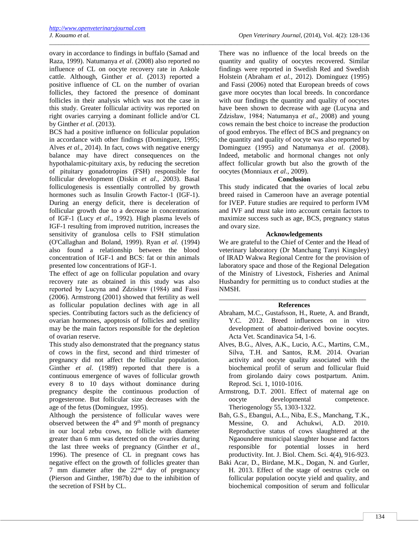ovary in accordance to findings in buffalo (Samad and Raza, 1999). Natumanya *et al*. (2008) also reported no influence of CL on oocyte recovery rate in Ankole cattle. Although, Ginther *et al*. (2013) reported a positive influence of CL on the number of ovarian follicles, they factored the presence of dominant follicles in their analysis which was not the case in this study. Greater follicular activity was reported on right ovaries carrying a dominant follicle and/or CL by Ginther *et al*. (2013).

\_\_\_\_\_\_\_\_\_\_\_\_\_\_\_\_\_\_\_\_\_\_\_\_\_\_\_\_\_\_\_\_\_\_\_\_\_\_\_\_\_\_\_\_\_\_\_\_\_\_\_\_\_\_\_\_\_\_\_\_\_\_\_\_\_\_\_\_\_\_\_\_\_\_\_\_\_\_\_\_\_\_\_\_\_\_\_\_\_\_\_\_\_\_\_\_\_\_\_\_\_\_\_\_

BCS had a positive influence on follicular population in accordance with other findings (Dominguez, 1995; Alves *et al*., 2014). In fact, cows with negative energy balance may have direct consequences on the hypothalamic-pituitary axis, by reducing the secretion of pituitary gonadotropins (FSH) responsible for follicular development (Diskin *et al*., 2003). Basal folliculogenesis is essentially controlled by growth hormones such as Insulin Growth Factor-1 (IGF-1). During an energy deficit, there is deceleration of follicular growth due to a decrease in concentrations of IGF-1 (Lucy *et al*., 1992). High plasma levels of IGF-1 resulting from improved nutrition, increases the sensitivity of granulosa cells to FSH stimulation (O'Callaghan and Boland, 1999). Ryan *et al.* (1994) also found a relationship between the blood concentration of IGF-1 and BCS: fat or thin animals presented low concentrations of IGF-1.

The effect of age on follicular population and ovary recovery rate as obtained in this study was also reported by Lucyna and Zdzisław (1984) and Fassi (2006). Armstrong (2001) showed that fertility as well as follicular population declines with age in all species. Contributing factors such as the deficiency of ovarian hormones, apoptosis of follicles and senility may be the main factors responsible for the depletion of ovarian reserve.

This study also demonstrated that the pregnancy status of cows in the first, second and third trimester of pregnancy did not affect the follicular population. Ginther *et al*. (1989) reported that there is a continuous emergence of waves of follicular growth every 8 to 10 days without dominance during pregnancy despite the continuous production of progesterone. But follicular size decreases with the age of the fetus (Dominguez, 1995).

Although the persistence of follicular waves were observed between the 4th and 9th month of pregnancy in our local zebu cows, no follicle with diameter greater than 6 mm was detected on the ovaries during the last three weeks of pregnancy (Ginther *et al*., 1996). The presence of CL in pregnant cows has negative effect on the growth of follicles greater than 7 mm diameter after the  $22<sup>nd</sup>$  day of pregnancy (Pierson and Ginther, 1987b) due to the inhibition of the secretion of FSH by CL.

There was no influence of the local breeds on the quantity and quality of oocytes recovered. Similar findings were reported in Swedish Red and Swedish Holstein (Abraham *et al.*, 2012). Dominguez (1995) and Fassi (2006) noted that European breeds of cows gave more oocytes than local breeds. In concordance with our findings the quantity and quality of oocytes have been shown to decrease with age (Lucyna and Zdzisław, 1984; Natumanya *et al*., 2008) and young cows remain the best choice to increase the production of good embryos. The effect of BCS and pregnancy on the quantity and quality of oocyte was also reported by Dominguez (1995) and Natumanya *et al*. (2008). Indeed, metabolic and hormonal changes not only affect follicular growth but also the growth of the oocytes (Monniaux *et al*., 2009).

#### **Conclusion**

This study indicated that the ovaries of local zebu breed raised in Cameroon have an average potential for IVEP. Future studies are required to perform IVM and IVF and must take into account certain factors to maximize success such as age, BCS, pregnancy status and ovary size.

## **Acknowledgements**

We are grateful to the Chief of Center and the Head of veterinary laboratory (Dr Manchang Tanyi Kingsley) of IRAD Wakwa Regional Centre for the provision of laboratory space and those of the Regional Delegation of the Ministry of Livestock, Fisheries and Animal Husbandry for permitting us to conduct studies at the NMSH.

#### \_\_\_\_\_\_\_\_\_\_\_\_\_\_\_\_\_\_\_\_\_\_\_\_\_\_\_\_\_\_\_\_\_\_\_\_\_\_\_\_\_\_\_ **References**

- Abraham, M.C., Gustafsson, H., Ruete, A. and Brandt, Y.C. 2012. Breed influences on in vitro development of abattoir-derived bovine oocytes. Acta Vet. Scandinavica 54, 1-6.
- Alves, B.G., Alves, A.K., Lucio, A.C., Martins, C.M., Silva, T.H. and Santos, R.M. 2014. Ovarian activity and oocyte quality associated with the biochemical profil of serum and follicular fluid from girolando dairy cows postpartum. Anim. Reprod. Sci. 1, 1010-1016.
- Armstrong, D.T. 2001. Effect of maternal age on oocyte developmental competence. Theriogenology 55, 1303-1322.
- Bah, G.S., Ebangui, A.L., Niba, E.S., Manchang, T.K., Messine, O. and Achukwi, A.D. 2010. Reproductive status of cows slaughtered at the Ngaoundere municipal slaughter house and factors responsible for potential losses in herd productivity. Int. J. Biol. Chem. Sci. 4(4), 916-923.
- Baki Acar, D., Birdane, M.K., Dogan, N. and Gurler, H. 2013. Effect of the stage of oestrus cycle on follicular population oocyte yield and quality, and biochemical composition of serum and follicular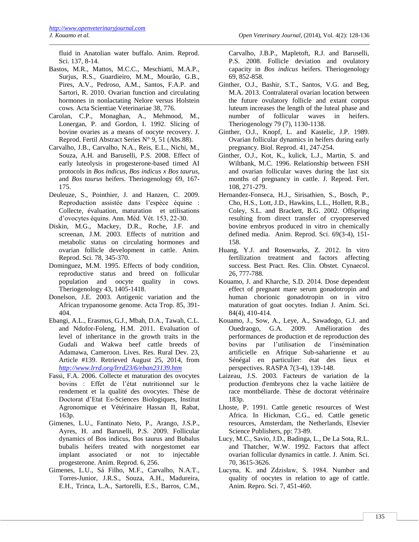fluid in Anatolian water buffalo. Anim. Reprod. Sci. 137, 8-14.

- Bastos, M.R., Mattos, M.C.C., Meschiatti, M.A.P., Surjus, R.S., Guardieiro, M.M., Mourão, G.B., Pires, A.V., Pedroso, A.M., Santos, F.A.P. and Sartori, R. 2010. Ovarian function and circulating hormones in nonlactating Nelore versus Holstein cows. Acta Scientiae Veterinariae 38, 776.
- Carolan, C.P., Monaghan, A., Mehmood, M., Lonergan, P. and Gordon, I. 1992. Slicing of bovine ovaries as a means of oocyte recovery. J. Reprod. Fertil Abstract Series N° 9, 51 (Abs.88).
- Carvalho, J.B., Carvalho, N.A., Reis, E.L., Nichi, M., Souza, A.H. and Baruselli, P.S. 2008. Effect of early luteolysis in progesterone-based timed AI protocols in *Bos indicus, Bos indicus x Bos taurus,*  and *Bos taurus* heifers. Theriogenology 69, 167- 175.
- Deuleuze, S., Pointhier, J. and Hanzen, C. 2009. Reproduction assistée dans l'espèce équine : Collecte, évaluation, maturation et utilisations d'ovocytes équins. Ann. Méd. Vét. 153, 22-30.
- Diskin, M.G., Mackey, D.R., Roche, J.F. and screenan, J.M. 2003. Effects of nutrition and metabolic status on circulating hormones and ovarian follicle development in cattle. Anim. Reprod. Sci. 78, 345-370.
- Dominguez, M.M. 1995. Effects of body condition, reproductive status and breed on follicular population and oocyte quality in cows. Theriogenology 43, 1405-1418.
- Donelson, J.E. 2003. Antigenic variation and the African trypanosome genome. Acta Trop. 85, 391- 404.
- Ebangi, A.L., Erasmus, G.J., Mbah, D.A., Tawah, C.L. and Ndofor-Foleng, H.M. 2011. Evaluation of level of inheritance in the growth traits in the Gudali and Wakwa beef cattle breeds of Adamawa, Cameroon. Lives. Res. Rural Dev. 23, Article #139. Retrieved August 25, 2014, from *<http://www.lrrd.org/lrrd23/6/eban23139.htm>*
- Fassi, F.A. 2006. Collecte et maturation des ovocytes bovins : Effet de l'état nutritionnel sur le rendement et la qualité des ovocytes. Thèse de Doctorat d'Etat Es-Sciences Biologiques, Institut Agronomique et Vétérinaire Hassan II, Rabat, 163p.
- Gimenes, L.U., Fantinato Neto, P., Arango, J.S.P., Ayres, H. and Baruselli, P.S. 2009. Follicular dynamics of Bos indicus, Bos taurus and Bubalus bubalis heifers treated with norgestomet ear implant associated or not to injectable progesterone. Anim. Reprod. 6, 256.
- Gimenes, L.U., Sá Filho, M.F., Carvalho, N.A.T., Torres-Junior, J.R.S., Souza, A.H., Madureira, E.H., Trinca, L.A., Sartorelli, E.S., Barros, C.M.,

Carvalho, J.B.P., Mapletoft, R.J. and Baruselli, P.S. 2008. Follicle deviation and ovulatory capacity in *Bos indicus* heifers. Theriogenology 69, 852-858.

- Ginther, O.J., Bashir, S.T., Santos, V.G. and Beg, M.A. 2013. Contralateral ovarian location between the future ovulatory follicle and extant corpus luteum increases the length of the luteal phase and number of follicular waves in heifers. Theriogenology 79 (7), 1130-1138.
- Ginther, O.J., Knopf, L. and Kastelic, J.P. 1989. Ovarian follicular dynamics in heifers during early pregnancy*.* Biol. Reprod. 41, 247-254.
- Ginther, O.J., Kot, K., kulick, L.J., Martin, S. and Wiltbank, M.C. 1996. Relationship between FSH and ovarian follicular waves during the last six months of pregnancy in cattle. J. Reprod. Fert. 108, 271-279.
- Hernandez-Fonseca, H.J., Sirisathien, S., Bosch, P., Cho, H.S., Lott, J.D., Hawkins, L.L., Hollett, R.B., Coley, S.L. and Brackett, B.G. 2002. Offspring resulting from direct transfer of cryopreserved bovine embryos produced in vitro in chemically defined media. Anim. Reprod. Sci. 69(3-4), 151- 158.
- Huang, Y.J. and Rosenwarks, Z. 2012. In vitro fertilization treatment and factors affecting success. Best Pract. Res. Clin. Obstet. Cynaecol. 26, 777-788.
- Kouamo, J. and Kharche, S.D. 2014. Dose dependent effect of pregnant mare serum gonadotropin and human chorionic gonadotropin on in vitro maturation of goat oocytes. Indian J. Anim. Sci. 84(4), 410-414.
- Kouamo, J., Sow, A., Leye, A., Sawadogo, G.J. and Ouedraogo, G.A. 2009. Amélioration des performances de production et de reproduction des bovins par l'utilisation de l'insémination artificielle en Afrique Sub-saharienne et au Sénégal en particulier: état des lieux et perspectives. RASPA 7(3-4), 139-148.
- Laizeau, J.S. 2003. Facteurs de variation de la production d'embryons chez la vache laitière de race montbéliarde. Thèse de doctorat vétérinaire 183p.
- Lhoste, P. 1991. Cattle genetic resources of West Africa. In Hickman, C.G., ed. Cattle genetic resources, Amsterdam, the Netherlands, Elsevier Science Publishers, pp: 73-89.
- Lucy, M.C., Savio, J.D., Badinga, L., De La Sota, R.L. and Thatcher, W.W. 1992. Factors that affect ovarian follicular dynamics in cattle. J. Anim. Sci. 70, 3615-3626.
- Lucyna, K. and Zdzisław, S. 1984. Number and quality of oocytes in relation to age of cattle. Anim. Repro. Sci. 7, 451-460.